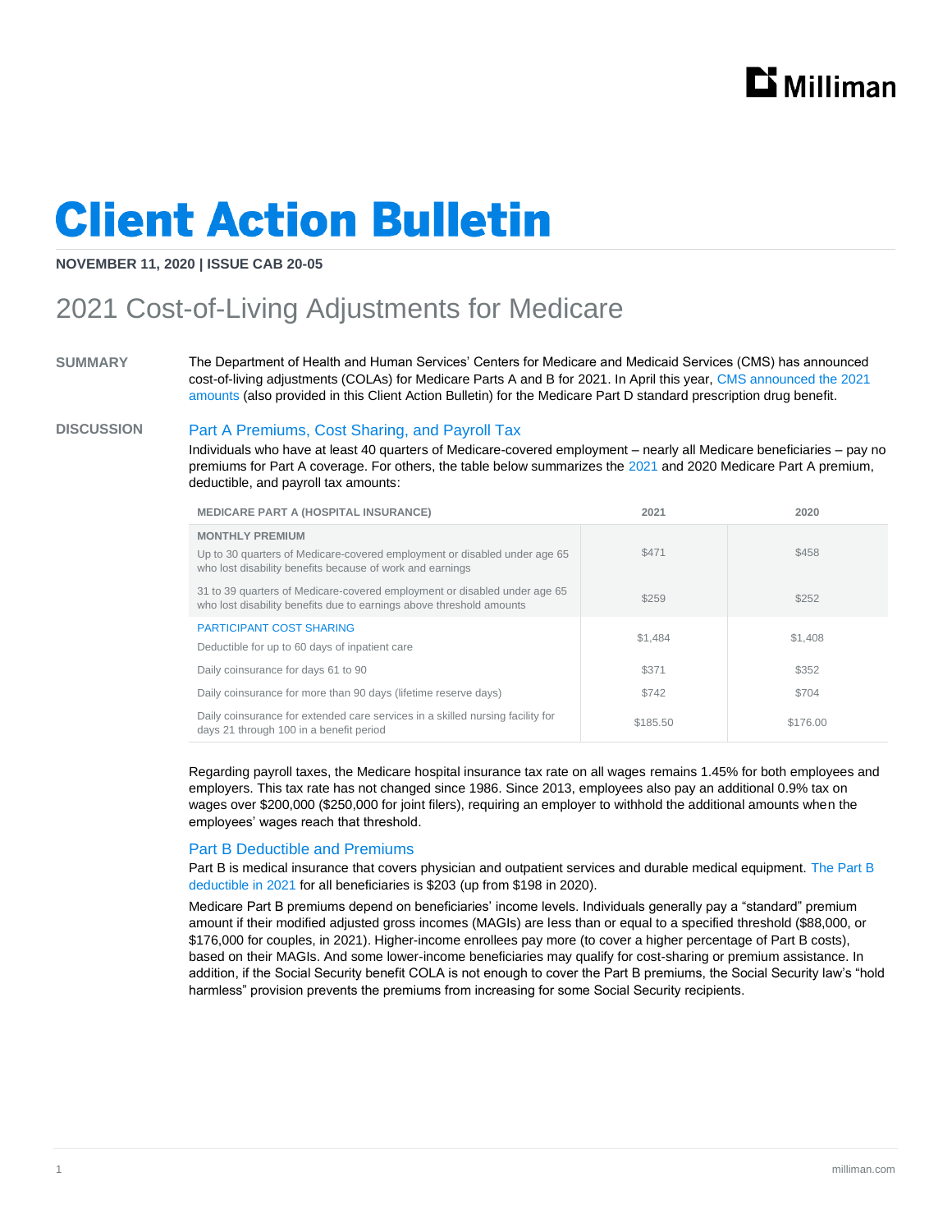

# **Client Action Bulletin**

#### **NOVEMBER 11, 2020 | ISSUE CAB 20-05**

### 2021 Cost-of-Living Adjustments for Medicare

**SUMMARY** The Department of Health and Human Services' Centers for Medicare and Medicaid Services (CMS) has announced cost-of-living adjustments (COLAs) for Medicare Parts A and B for 2021. In April this year, [CMS announced the 2021](https://www.cms.gov/files/document/2021-announcement.pdf) [amounts](https://www.cms.gov/files/document/2021-announcement.pdf) (also provided in this Client Action Bulletin) for the Medicare Part D standard prescription drug benefit.

#### **DISCUSSION** Part A Premiums, Cost Sharing, and Payroll Tax

Individuals who have at least 40 quarters of Medicare-covered employment – nearly all Medicare beneficiaries – pay no premiums for Part A coverage. For others, the table below summarizes the [2021](https://public-inspection.federalregister.gov/2020-25024.pdf) and 2020 Medicare Part A premium, deductible, and payroll tax amounts:

| <b>MEDICARE PART A (HOSPITAL INSURANCE)</b>                                                                                                                      | 2021     | 2020     |
|------------------------------------------------------------------------------------------------------------------------------------------------------------------|----------|----------|
| <b>MONTHLY PREMIUM</b><br>Up to 30 quarters of Medicare-covered employment or disabled under age 65<br>who lost disability benefits because of work and earnings | \$471    | \$458    |
| 31 to 39 quarters of Medicare-covered employment or disabled under age 65<br>who lost disability benefits due to earnings above threshold amounts                | \$259    | \$252    |
| <b>PARTICIPANT COST SHARING</b><br>Deductible for up to 60 days of inpatient care                                                                                | \$1.484  | \$1,408  |
| Daily coinsurance for days 61 to 90                                                                                                                              | \$371    | \$352    |
| Daily coinsurance for more than 90 days (lifetime reserve days)                                                                                                  | \$742    | \$704    |
| Daily coinsurance for extended care services in a skilled nursing facility for<br>days 21 through 100 in a benefit period                                        | \$185.50 | \$176.00 |

Regarding payroll taxes, the Medicare hospital insurance tax rate on all wages remains 1.45% for both employees and employers. This tax rate has not changed since 1986. Since 2013, employees also pay an additional 0.9% tax on wages over \$200,000 (\$250,000 for joint filers), requiring an employer to withhold the additional amounts when the employees' wages reach that threshold.

#### Part B Deductible and Premiums

Part B is medical insurance that covers physician and outpatient services and durable medical equipment. [The Part B](https://www.medicare.gov/your-medicare-costs/part-b-costs)  [deductible in 2021](https://www.medicare.gov/your-medicare-costs/part-b-costs) for all beneficiaries is \$203 (up from \$198 in 2020).

Medicare Part B premiums depend on beneficiaries' income levels. Individuals generally pay a "standard" premium amount if their modified adjusted gross incomes (MAGIs) are less than or equal to a specified threshold (\$88,000, or \$176,000 for couples, in 2021). Higher-income enrollees pay more (to cover a higher percentage of Part B costs), based on their MAGIs. And some lower-income beneficiaries may qualify for cost-sharing or premium assistance. In addition, if the Social Security benefit COLA is not enough to cover the Part B premiums, the Social Security law's "hold harmless" provision prevents the premiums from increasing for some Social Security recipients.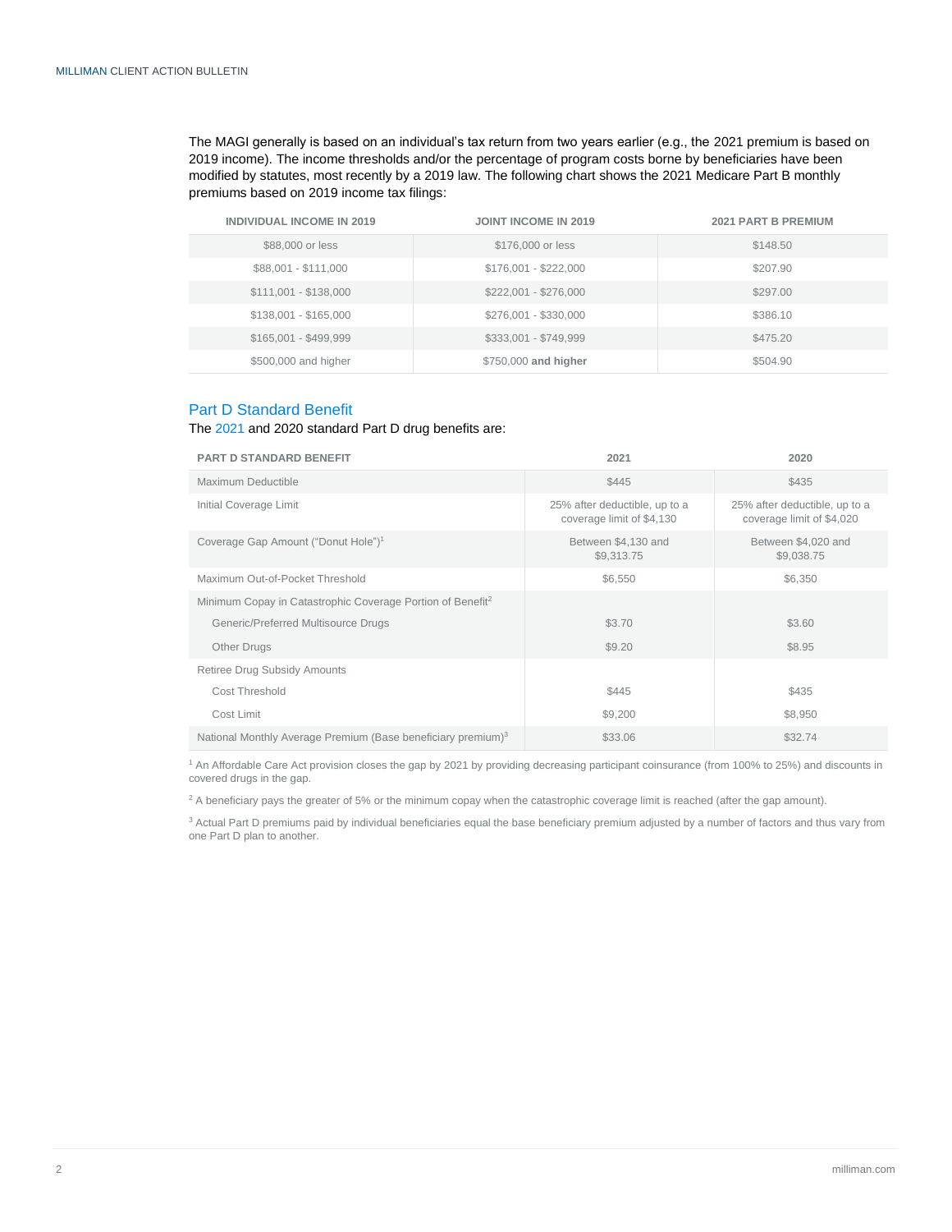The MAGI generally is based on an individual's tax return from two years earlier (e.g., the 2021 premium is based on 2019 income). The income thresholds and/or the percentage of program costs borne by beneficiaries have been modified by statutes, most recently by a 2019 law. The following chart shows the 2021 Medicare Part B monthly premiums based on 2019 income tax filings:

| <b>INDIVIDUAL INCOME IN 2019</b> | <b>JOINT INCOME IN 2019</b> | <b>2021 PART B PREMIUM</b> |
|----------------------------------|-----------------------------|----------------------------|
| \$88,000 or less                 | \$176,000 or less           | \$148.50                   |
| \$88,001 - \$111,000             | \$176,001 - \$222,000       | \$207.90                   |
| \$111,001 - \$138,000            | \$222,001 - \$276,000       | \$297.00                   |
| \$138,001 - \$165,000            | \$276,001 - \$330,000       | \$386.10                   |
| \$165,001 - \$499,999            | \$333,001 - \$749,999       | \$475.20                   |
| \$500,000 and higher             | \$750,000 and higher        | \$504.90                   |

#### Part D Standard Benefit

#### Th[e 2021](https://www.cms.gov/files/document/2021-announcement.pdf) and 2020 standard Part D drug benefits are:

| <b>PART D STANDARD BENEFIT</b>                                           | 2021                                                       | 2020                                                       |
|--------------------------------------------------------------------------|------------------------------------------------------------|------------------------------------------------------------|
| Maximum Deductible                                                       | \$445                                                      | \$435                                                      |
| Initial Coverage Limit                                                   | 25% after deductible, up to a<br>coverage limit of \$4,130 | 25% after deductible, up to a<br>coverage limit of \$4,020 |
| Coverage Gap Amount ("Donut Hole") <sup>1</sup>                          | Between \$4,130 and<br>\$9,313.75                          | Between \$4,020 and<br>\$9,038.75                          |
| Maximum Out-of-Pocket Threshold                                          | \$6,550                                                    | \$6,350                                                    |
| Minimum Copay in Catastrophic Coverage Portion of Benefit <sup>2</sup>   |                                                            |                                                            |
| Generic/Preferred Multisource Drugs                                      | \$3.70                                                     | \$3.60                                                     |
| Other Drugs                                                              | \$9.20                                                     | \$8.95                                                     |
| Retiree Drug Subsidy Amounts                                             |                                                            |                                                            |
| Cost Threshold                                                           | \$445                                                      | \$435                                                      |
| Cost Limit                                                               | \$9,200                                                    | \$8,950                                                    |
| National Monthly Average Premium (Base beneficiary premium) <sup>3</sup> | \$33.06                                                    | \$32.74                                                    |

<sup>1</sup> An Affordable Care Act provision closes the gap by 2021 by providing decreasing participant coinsurance (from 100% to 25%) and discounts in covered drugs in the gap.

<sup>2</sup> A beneficiary pays the greater of 5% or the minimum copay when the catastrophic coverage limit is reached (after the gap amount).

<sup>3</sup> Actual Part D premiums paid by individual beneficiaries equal the base beneficiary premium adjusted by a number of factors and thus vary from one Part D plan to another.